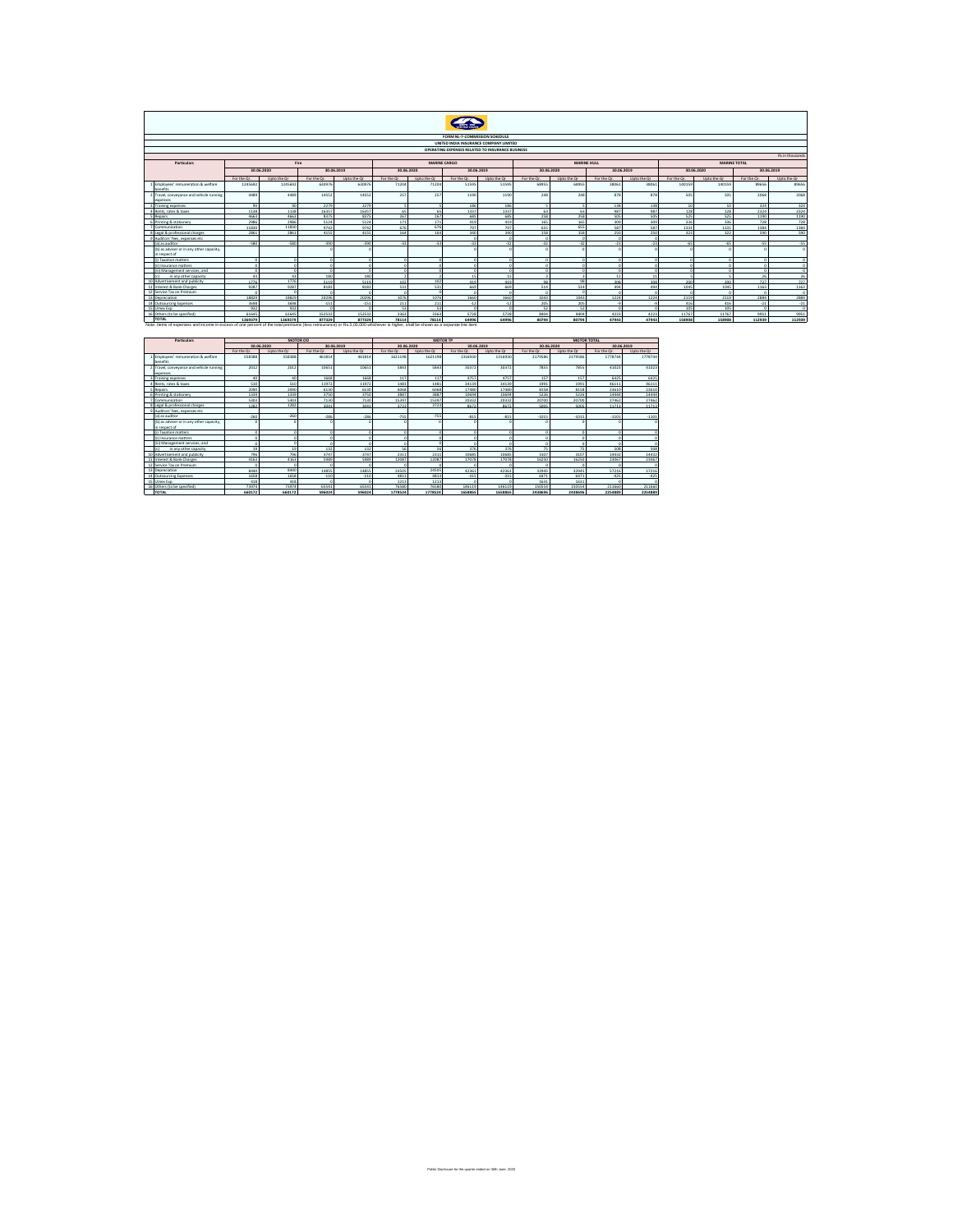## $\bullet$

|                                                          | FORM NL-7-COMMISSION SCHEDULE                                                           |             |             |             |             |             |             |                                        |             |             |             |                |                          |             |            |             |
|----------------------------------------------------------|-----------------------------------------------------------------------------------------|-------------|-------------|-------------|-------------|-------------|-------------|----------------------------------------|-------------|-------------|-------------|----------------|--------------------------|-------------|------------|-------------|
|                                                          |                                                                                         |             |             |             |             |             |             | UNITED INDIA INSURANCE COMPANY LIMITED |             |             |             |                |                          |             |            |             |
|                                                          | OPERATING EXPENSES RELATED TO INSURANCE BUSINESS                                        |             |             |             |             |             |             |                                        |             |             |             |                |                          |             |            |             |
|                                                          | <b>Rs</b> in thousands                                                                  |             |             |             |             |             |             |                                        |             |             |             |                |                          |             |            |             |
|                                                          | Particulars<br><b>MARINE TOTAL</b><br>Fire<br><b>MARINE CARGO</b><br><b>MARINE HULL</b> |             |             |             |             |             |             |                                        |             |             |             |                |                          |             |            |             |
|                                                          | 30.06.2020<br>30.06.2019<br>30.06.2020<br>30.06.2019<br>30.06.2020<br>30.06.2019        |             |             |             |             |             |             |                                        |             |             |             |                |                          |             |            |             |
|                                                          |                                                                                         |             |             |             |             |             |             |                                        |             |             |             |                | 30.06.2019<br>30.06.2020 |             |            |             |
|                                                          | For the Or.                                                                             | Upto the Or | For the Or. | Upto the Or | For the Or. | Upto the Or | For the Or. | Upto the Or                            | For the Or. | Upto the Or | For the Or. | Upto the Or    | For the Or.              | Upto the Or | For the Or | Upto the Or |
| Employees' remuneration & welfare<br>benefits            | 1245692                                                                                 | 1245692     | 630976      | 630976      | 71204       | 71204       | 51595       | 51595                                  | 68955       | 68955       | 38061       | 38061          | 140159                   | 140159      | 89656      | 89656       |
| 2 Travel, conveyance and vehicle running<br>expenses     | 4489                                                                                    | 4489        | 14552       | 14552       | 257         | 257         | 1190        | 1190                                   | 248         | 248         | 878         | 878            | 505                      | 505         | 2068       | 2068        |
| Training expenses                                        | $\alpha$                                                                                | An-         | 2279        | 2279        |             |             | 100         | 196                                    |             |             | 138         | 138            | 10                       |             | 324        | 324         |
| Rents, rates & taxes                                     | 1138                                                                                    | 1138        | 16357       | 16357       | 65          | 65          | 1337        | 1337                                   | 63          | 63          | 987         | 987            | 128                      | 128         | 2324       | 2324        |
| Repairs                                                  | 4663                                                                                    | 4663        | 8375        | 8375        | 267         | 267         | 685         | 685                                    | 258         | 258         | 505         | 505            | 525                      | 525         | 1190       | 1190        |
| Printing & stationery                                    | 2986                                                                                    | 2986        | 5124        | 5124        | 171         | 171         | 446         | 410                                    | 165         | 165         | 200         | 209            | 336                      | 336         | 728        | 728         |
| 7 Communication                                          | 11830                                                                                   | 11830       | 9742        | 9742        | 676         | 676         | 797         | 707                                    | 655         | 655         | COT         | COT            | 1331                     | 1331        | 1384       | 1384        |
| egal & nenfeccional charges                              | 2861                                                                                    | 2861        | 4155        | 4155        | 164         | 164         | 340         | 340                                    | 158         | 158         | 250         | 250            | 322                      | 322         | 590        | 590         |
| Auditors' fees, expenses etc.                            |                                                                                         |             |             |             |             |             |             |                                        |             |             |             |                |                          |             |            |             |
| (a) as auditor                                           | $-580$                                                                                  | $.$ con     | .390.       | .390        | $-33$       | 22          | $-22$       | 22                                     | $-22$       | 22          | 22          | 22             | $\epsilon$               | $\sim$      | 55         | 52.         |
| b) as adviser or in any other capacity,<br>in respect of |                                                                                         |             |             |             |             |             |             |                                        |             |             |             |                |                          |             |            |             |
| 1 Taxation matters                                       |                                                                                         |             |             |             |             |             |             |                                        |             |             |             |                |                          |             |            |             |
| iii Insurance matters                                    |                                                                                         |             |             |             |             |             |             |                                        |             |             |             |                |                          |             |            |             |
| iii) Management services: and                            |                                                                                         |             |             |             |             |             |             |                                        |             |             |             |                |                          |             |            |             |
| in any other capacity                                    | 42                                                                                      | 43          | 180         | 190         |             |             |             |                                        |             |             |             | $\overline{a}$ |                          |             | n.c        | $\infty$    |
| 10 Advertisement and publicity                           | 1776                                                                                    | 1776        | 5119        | 5119        | 102         | 102         | 8.98        | 410                                    |             | 98          | 209         | 200            | 200                      | 20          | 727        | 727         |
| Interest & Rank Charges                                  | 9287                                                                                    | 9287        | 8183        | 8183        | 531         | 531         | 669         | 669                                    | 514         | 514         | 494         | 494            | 1045                     | 1045        | 1163       | 1163        |
| 12 Service Tax on Premium                                | - 0                                                                                     |             | $\sim$      |             |             |             |             |                                        |             |             |             |                |                          |             |            |             |
| 13 Depreciation                                          | 18829                                                                                   | 18829       | 20296       | 20296       | 1076        | 1076        | 1660        | 1660                                   | 1043        | 1043        | 1224        | 1224           | 2119                     | 2119        | 2884       | 2884        |
| 14<br>Outsourcing Expanses                               | 3698                                                                                    | 3698        | .151        | .151        | 211         | 21          | .17         | 4.3                                    | 205         | 205         |             |                | 416                      | 416         | .21        | .21         |
| 15 Umax Exp.                                             | 932                                                                                     | 932         |             |             | 53          | 53          |             |                                        | 52          | 52          |             |                | 105                      | 105         |            |             |
| 16 Others (to be specified)                              | 61645                                                                                   | 61645       | 152532      | 152532      | 3363        | 3363        | 5728        | 5778                                   | 8404        | 8404        | 4223        | 4223           | 11767                    | 11767       | 9951       | 9951        |

ure for the quarter ended on 30th June, 2020

| Particulars |                                          |             |             | MOTOR OD    |             |             |             | <b>MOTOR TP</b> |             | <b>MOTOR TOTAL</b> |             |             |             |  |
|-------------|------------------------------------------|-------------|-------------|-------------|-------------|-------------|-------------|-----------------|-------------|--------------------|-------------|-------------|-------------|--|
|             |                                          |             | 30.06.2020  |             | 30.06.2019  | 30.06.2020  |             |                 | 30.06.2019  |                    | 30.06.2020  |             | 30.06.2019  |  |
|             |                                          | For the Or. | Upto the Or | For the Or. | Upto the Or | For the Or. | Upto the Or | For the Or.     | Upto the Or | For the Or.        | Upto the Or | For the Or. | Upto the Or |  |
|             | 1 Employees' remuneration & welfare      | 558388      | 558388      | 461814      | 461814      | 1621198     | 1621198     | 1316930         | 1316930     | 2179586            | 2179586     | 1778744     | 177874      |  |
|             | benefits                                 |             |             |             |             |             |             |                 |             |                    |             |             |             |  |
|             | 2 Travel, conveyance and vehicle running | 2012        | 2012        | 10651       | 10651       | 5843        | 5843        | 30372           | 30372       | 7855               | 7855        | 41023       | 4102        |  |
|             | expenses                                 |             |             |             |             |             |             |                 |             |                    |             |             |             |  |
|             | Training eyeennotes                      | 40          |             | 1668        | 1668        | 117         | 117         | 4757            | 4757        | 157                | 157         | 6425        | 642         |  |
|             | Ronts, rates & tayes                     | 510         | 510         | 11972       | 11972       | 1481        | 1481        | 34139           | 34139       | 199:               | 1991        | 46111       | 4611        |  |
|             | Repairs                                  | 2090        | 2090        | 6130        | 6130        | 6068        | 6068        | 17480           | 17480       | 8158               | 8158        | 23610       | 2361        |  |
|             | 6 Printing & stationery                  | 1339        | 1339        | 3750        | 3750        | 3887        | 3887        | 10694           | 10694       | 5226               | 5226        | 14444       | 1444        |  |
|             | 7 Communication                          | 5303        | 5303        | 7130        | 7130        | 15397       | 15397       | 20332           | 20332       | 20200              | 20700       | 27462       | 2746        |  |
|             | 8 Legal & professional charges           | 1282        | 1282        | 3041        | 3041        | 3723        | 3723        | 8672            | 8672        | 5005               | 5005        | 11713       | 1171        |  |
|             | 9 Auditors' fees expenses etc.           |             |             |             |             |             |             |                 |             |                    |             |             |             |  |
|             | (a) as auditor                           | $-260$      | -260        | .286        | $-286$      | .755        | .755        | .815            | .815        | $-1015$            | $-1015$     | $-1101$     | $-110$      |  |
|             | (b) as adviser or in any other capacity. |             |             |             |             |             |             |                 |             |                    |             |             |             |  |
|             | in respect of                            |             |             |             |             |             |             |                 |             |                    |             |             |             |  |
|             | Iil Tayatinn matters                     |             |             |             |             |             |             |                 |             |                    |             |             |             |  |
|             | iii Insurance matters                    |             |             |             |             |             |             |                 |             |                    |             |             |             |  |
|             | (iii) Management services: and           |             |             |             |             |             |             |                 |             |                    |             |             |             |  |
|             | in any other capacity<br>te)             | 10          | 19          | 132         | 132         | c.          | 56          | 376             | 376         | 20                 | 7C          | SOR         | 50          |  |
|             | 10 Advertisement and nublicity           | 796         | 205         | 3747        | 3747        | 231         | 2311        | 10685           | 10685       | 3107               | 3107        | 14437       | 1443        |  |
|             | Interest & Rank Charges<br>11            | 4163        | 4163        | 5989        | 5989        | 12087       | 12087       | 17078           | 17078       | 16250              | 16250       | 23067       | 2306        |  |
|             | 12 Service Tax on Premium                |             |             |             |             |             |             |                 |             |                    |             |             |             |  |
|             | 13 Depreciation                          | 8440        | 8440        | 14855       | 14855       | 24505       | 24505       | 42361           | 42361       | 32945              | 32949       | 57216       | 5721        |  |
|             | 14 Outsourcing Expenses                  | 1658        | 1658        | $-110$      | $-110$      | 4817        | 4813        | $-315$          | .315        | 6471               | 6471        | .425        | $-42$       |  |
|             | 15 Umax Exp.                             | 418         | 418         |             |             | 1213        | 1213        |                 |             | 1631               | 1631        |             |             |  |
|             | 16 Others (to be specified)              | 73974       | 73974       | 65541       | 65541       | 76580       | 76580       | 146119          | 146119      | 150554             | 150554      | 211660      | 21166       |  |
|             | <b>TOTAL</b>                             | 660172      | 660172      | 596024      | 596024      | 1778524     | 1778524     | 1658865         | 1658865     | 2438696            | 2438696     | 2254889     | 225488      |  |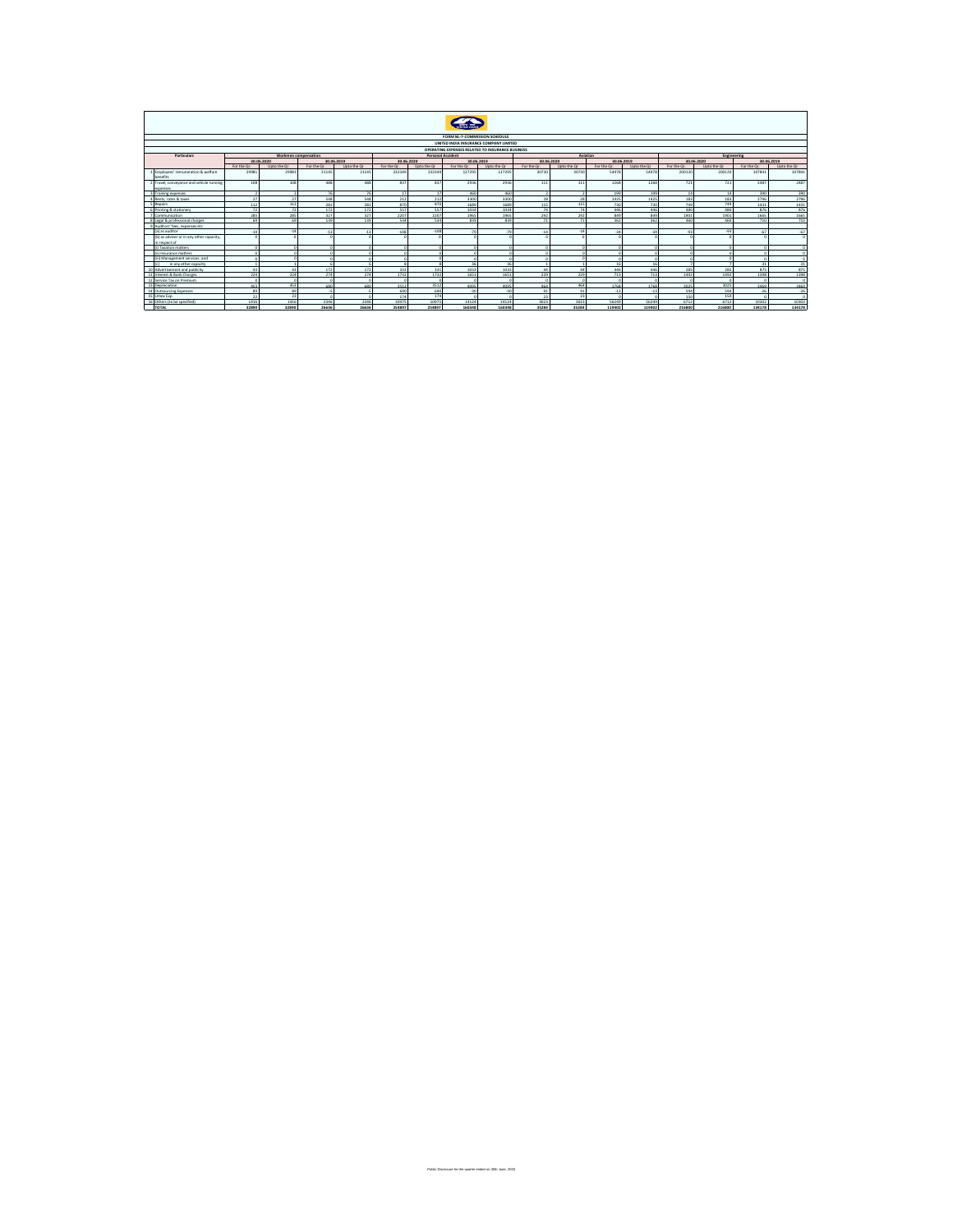|                                                           | FORM NL-7-COMMISSION SCHEDULE                                                                                                          |             |             |             |             |             |                |                |                |                |             |             |                  |             |             |             |
|-----------------------------------------------------------|----------------------------------------------------------------------------------------------------------------------------------------|-------------|-------------|-------------|-------------|-------------|----------------|----------------|----------------|----------------|-------------|-------------|------------------|-------------|-------------|-------------|
|                                                           | UNITED INDIA INSURANCE COMPANY LIMITED                                                                                                 |             |             |             |             |             |                |                |                |                |             |             |                  |             |             |             |
|                                                           |                                                                                                                                        |             |             |             |             |             |                |                |                |                |             |             |                  |             |             |             |
|                                                           | OPERATING EXPENSES RELATED TO INSURANCE BUSINESS<br>Aviation<br><b>Engineering</b><br>Workmen compensation<br><b>Personal Accident</b> |             |             |             |             |             |                |                |                |                |             |             |                  |             |             |             |
| Particulars                                               |                                                                                                                                        | 30.06.2020  | 30.06.2019  |             | 30.06.2020  |             | 30.06.2019     |                | 30.06.2020     |                | 30.06.2019  |             |                  | 30.06.2020  |             | 30.06.2019  |
|                                                           | For the Or.                                                                                                                            | Upto the Or | For the Or. | Upto the Or | For the Or. | Upto the Or | For the Or.    | Upto the Or    | For the Or.    | Upto the Or    | For the Or. | Upto the Or | For the Or.      | Upto the Or | For the Or. | Upto the Or |
| 1 Employees' remuneration & welfare                       | 29981                                                                                                                                  | 29981       | 21145       | 21145       | 232349      | 232349      | 127295         | 127295         | 30730          | 30730          | 54978       | 54978       | 200120           | 200120      | 107841      | 107841      |
| <b>benefits</b>                                           |                                                                                                                                        |             |             |             |             |             |                |                |                |                |             |             |                  |             |             |             |
| 2 Travel, conveyance and vehicle running                  | 108                                                                                                                                    | 108         | 488         | 488         | 837         | 837         | 2936           | 2936           | 111            | 111            | 1268        | 1268        | 721              | 721         | 2487        | 2487        |
| expenses                                                  |                                                                                                                                        |             |             |             |             |             |                |                |                |                |             |             |                  |             |             |             |
| 3 Training expenses                                       |                                                                                                                                        |             | 76          | 76          | 17          | 17          | 460            | 460            |                |                | 199         | 199         | 14               | 14          | 390         | 390         |
| 4 Rents, rates & taxes                                    | 27                                                                                                                                     | 27          | 548         | 548         | 212         | 212         | 3300           | 3300           | 28             | 28             | 1425        | 1425        | 183              | 183         | 2796        | 2796        |
| 5 Repairs                                                 | 112                                                                                                                                    | 112         | 281         | 281         | 870         | 870         | 1689           | 1689           | 115            | 115            | 730         | 720         | 749              | 749         | 1431        | 1431        |
| 6 Printing & stationary                                   | 22                                                                                                                                     |             | 172         | 172         | 557         | CC7         | 1034           | 1034           | 74             | 74             | AAC.        | AAC.        | 490 <sup>1</sup> | 490         | 876         | 876         |
| 7 Communication                                           | 285                                                                                                                                    | 285         | 327         | 327         | 2207        | 2207        | 1965           | 1965           | 292            | 292            | 849         | 849         | 1901             | 1901        | 1665        | 1665        |
| 8 Legal & professional charges                            | 69                                                                                                                                     | 69          | 139         | 139         | 534         | 534         | 839            | 839            | 71             | 71             | 362         | 362         | 460              | 460         | 710         | 710         |
| 9 Auditors' fees, expenses etc.                           |                                                                                                                                        |             |             |             |             |             |                |                |                |                |             |             |                  |             |             |             |
| (a) as auditor                                            | $-14$                                                                                                                                  | $-14$       | $-13$       | $-13$       | $-108$      | $-108$      | $-79$          | .79            | $-14$          | $-14$          | $-34$       | $-34$       | $-93$            | $-93$       | $-67$       | $-67$       |
| (b) as adviser or in any other capacity,<br>in respect of | $\sim$                                                                                                                                 |             |             |             |             |             |                |                |                |                |             |             |                  |             |             |             |
| (i) Tayatinn matters                                      |                                                                                                                                        |             |             |             |             |             |                |                |                |                |             |             |                  |             |             |             |
| (ii) Insurance matters                                    |                                                                                                                                        |             |             |             |             |             |                |                |                |                |             |             |                  |             |             |             |
| iii) Management services: and                             |                                                                                                                                        |             |             |             |             |             |                | $\sim$         |                |                |             |             |                  |             | r.          |             |
| in any other capacity<br>1 <sup>1</sup>                   |                                                                                                                                        |             |             |             |             |             | 2 <sup>c</sup> | 2 <sup>c</sup> |                |                |             |             |                  |             | 24          | 31          |
| 10 Advertisement and nublicity                            | 43                                                                                                                                     |             | 172         | 172         | 331         | 331         | 1033           | 1033           | $\overline{a}$ |                | 446         | AAG         | 285              | 285         | 875         | 875         |
| 11 Interest & Bank Charges                                | 224                                                                                                                                    | 224         | 274         | 274         | 1732        | 1732        | 1651           | 1651           | 229            | 229            | 713         | 713         | 1492             | 1492        | 1398        | 1398        |
| 12 Service Tax on Premium                                 |                                                                                                                                        |             |             |             |             |             |                |                |                |                |             |             |                  |             |             |             |
| 13 Depreciation                                           | 453                                                                                                                                    | 453         | 680         | 680         | 3512        | 3512        | 4095           | 4095           | 464            | 464            | 1768        | 1768        | 3025             | 3025        | 3,469       | 3469        |
| 14 Outsourcing Expenses                                   | 89                                                                                                                                     | 89          | JS.         |             | 690         | 690         | $-30$          | $-30$          | 91             | Q <sub>1</sub> | $-13$       | $-13$       | 594              | 594         | $-26$       | $-26$       |
| 15 Honey Fyn                                              | 22                                                                                                                                     | 22          |             |             | 174         | 174         |                |                | 23             | 23             |             |             | 150              | 150         |             | $\Omega$    |
| 16 Others (to be specified)                               | 1416                                                                                                                                   | 1416        | 2346        | 2346        | 10975       | 10975       | 14124          | 14124          | 3023           | 3023           | 56249       | 56249       | 6712             | 6712        | 10302       | 10302       |
| <b>TOTAL</b>                                              | 32890                                                                                                                                  | 32890       | 26636       | 26636       | 254897      | 254897      | 160348         | 160348         | 35284          | 35284          | 119402      | 119402      | 216800           | 216800      | 134178      | 134178      |